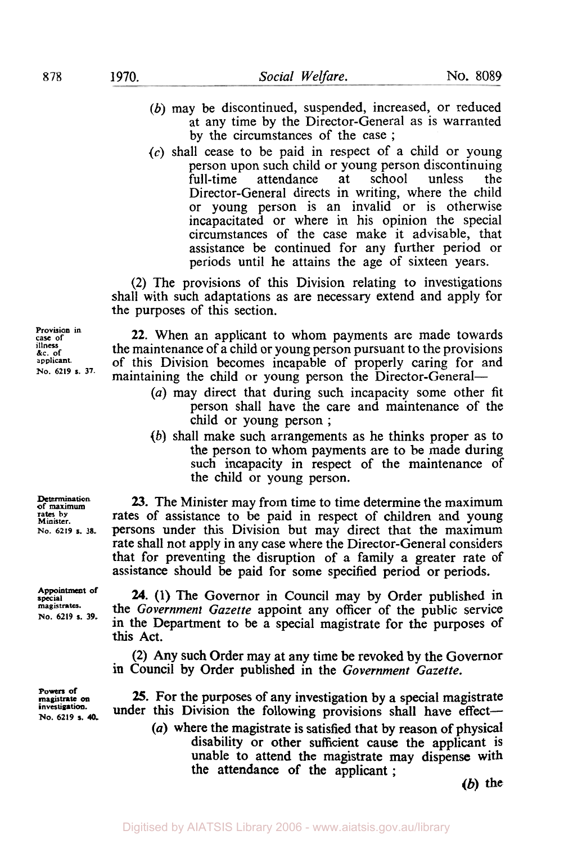- *(b)* may be discontinued, suspended, increased, or reduced at any time by the Director-General as is warranted by the circumstances of the case ;
- *(c)* shall cease to be paid in respect of a child or young person upon such child or young person discontinuing attendance Director-General directs in writing, where the child or young person is an invalid or is otherwise incapacitated or where in his opinion the special circumstances of the case make it advisable, that assistance be continued for any further period or periods until he attains the age of sixteen years.

**(2)** The provisions of this Division relating to investigations shall with such adaptations as are necessary extend and apply for the purposes of this section.

**22.** When an applicant to whom payments are made towards the maintenance of a child or young person pursuant to the provisions of this Division becomes incapable of properly caring for and maintaining the child or young person the Director-General-

- *(a)* may direct that during such incapacity some other fit person shall have the care and maintenance of the child or young person ;
- *(b)* shall make such arrangements as he thinks proper as to the person to whom payments are to be made during such incapacity in respect of the maintenance of the child or young person.

*23.* The Minister may from time to time determine the maximum rates of assistance to be paid in respect of children and young persons under this Division but may direct that the maximum rate shall not apply in any case where the Director-General considers that for preventing the disruption of a family a greater rate **of**  assistance should be paid for some specified period or periods.

24. (1) The Governor in Council may by Order published in the *Government Gazette* appoint any officer of the public service in the Department to be a special magistrate for the purposes of **this** Act.

**(2)** Any such Order may at any time be revoked by the Governor in Council by Order published in the *Government Gazette.* 

*25.* For the purposes of any investigation by a special magistrate under this Division the following provisions shall have effect-*(a)* where the magistrate is satisfied that by reason of physical disability or other sufficient cause the applicant is unable to attend the magistrate may dispense with

*(b)* **the** 

**Provision in case of illness &c. of applicant. No. 6219 s. 37.** 

**Determination of maximum rates by Minister. No.** *6219* **s. 38.** 

**Appointment of special magistrates. No. 6219 s. 39.** 

**Powers of magistrate** *on* **investigation. No. 6219 s. 40.** 

the attendance of the applicant ;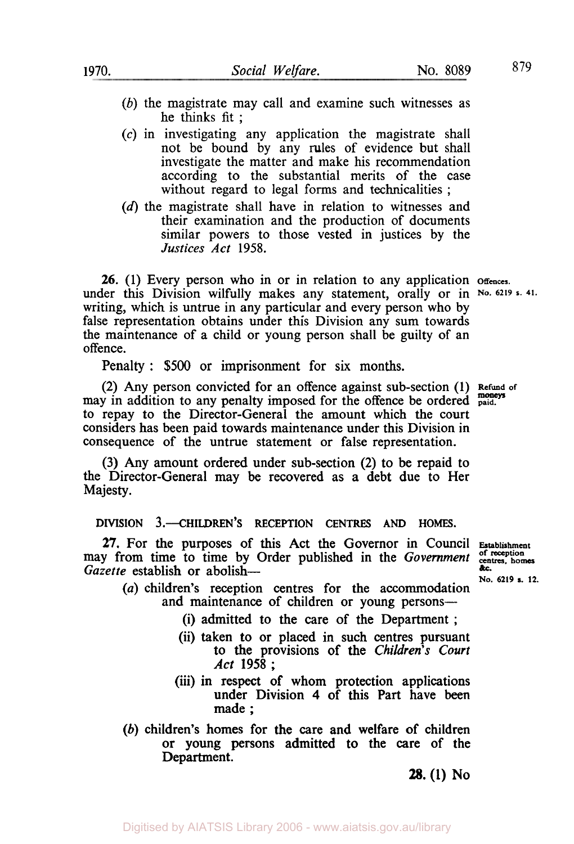- *(b)* the magistrate may call and examine such witnesses as he thinks fit ;
- (c) in investigating any application the magistrate shall not be bound by any rules of evidence but shall investigate the matter and make his recommendation according to the substantial merits **of** the case without regard to legal forms and technicalities ;
- (d) the magistrate shall have in relation to witnesses and their examination and the production of documents similar powers to those vested in justices by the *Justices Act* 1958.

*26.* (1) Every person who in **or** in relation to any application **offences.**  under this Division wilfully makes any statement, orally or in No. 6219 s. 41. writing, which **is** untrue in any particular and every person who by false representation obtains under this Division any sum towards the maintenance of a child or young person shall be guilty **of** an offence.

Penalty : \$500 or imprisonment for six months.

**(2)** Any person convicted for an offence against sub-section (1) **Refund of moneys**  may in addition to any penalty imposed for the offence be ordered to repay to the Director-General the amount which the court considers has been paid towards maintenance under this Division in consequence of the untrue statement or false representation.

**(3)** Any amount ordered under sub-section **(2)** to be repaid to the Director-General may be recovered as a debt due to Her Majesty.

**DIVISION 3.—CHILDREN'S RECEPTION CENTRES AND HOMES.** 

27. For the purposes of this Act the Governor in Council **Establishment** y from time to time by Order published in the *Government* contress, homes zette establish or abolish may from time to time by Order published in the *Government Gazette* establish or abolish—

**No. 6219 a. 12.** 

- *(a)* children's reception centres for the accommodation and maintenance of children or young persons--
	- **(i)** admitted to the care of the Department ;
	- (ii) taken to or placed in such centres pursuant to the provisions of the *Children's Court Act* **1958** ;
	- (iii) in respect **of** whom protection applications under Division **4** of this Part have been made ;
- *(b)* children's homes for the care and welfare of children or **young** persons admitted to the care **of** the Department.

**28. (1) No**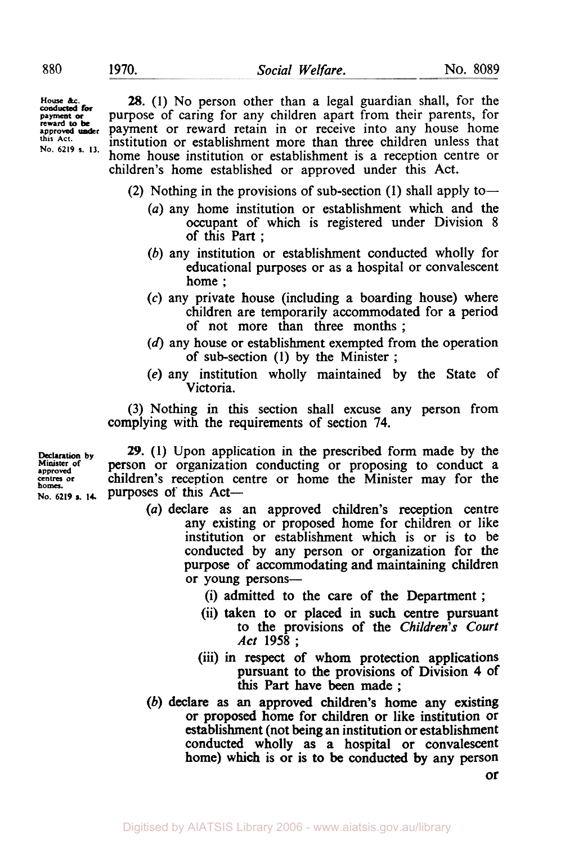**canducted for reward to be this Act. No.** *6219* **s. 13.** 

**28.** (1) No person other than a legal guardian shall, for the **payment or** purpose **of** caring for any children apart from their parents, for approved **under** payment or reward retain in or receive into any house home institution or establishment more than three children unless that home house institution or establishment is a reception centre or children's home established or approved under this Act.

(2) Nothing in the provisions of sub-section **(1)** shall apply to-

- *(a)* any home institution or establishment which and the occupant of which is registered under Division 8 of this Part ;
- *(b)* any institution or establishment conducted wholly for educational purposes or as a hospital or convalescent home ;
- *(c)* any private house (including a boarding house) where children are temporarily accommodated for a period of not more than three months ;
- **(d)** any house or establishment exempted from the operation of sub-section **(1)** by the Minister ;
- (e) any institution wholly maintained by the State of Victoria.

(3) Nothing in this section shall excuse any person from complying with the requirements of section **74.** 

**Minister of**<br>approved<br>centres or **homes.** 

**Declaration by** *29.* **(1)** Upon application in the prescribed form made by the **person** or organization conducting or proposing to conduct a children's reception centre or home the Minister may for the **No.** *6219* s. **14.** purposes of this Act-

- *(a)* declare as an approved children's reception centre any existing or proposed home for children or like institution or establishment which is or is to be conducted by any person or organization for the purpose of accommodating and maintaining children or young persons-
	- (i) admitted to the care of the Department ;
	- (ii) taken to or placed in such centre pursuant to the provisions of the *Children's* Court Act **1958** ;
	- (iii) in respect of whom protection applications pursuant to the provisions of Division **4** of this **Part** have been made ;
- (b) declare **as an** approved children's home any existing or proposed home for children or like institution or establishment (not being an institution or establishment conducted wholly as a hospital or convalescent home) which is or is to **be** conducted by any person

or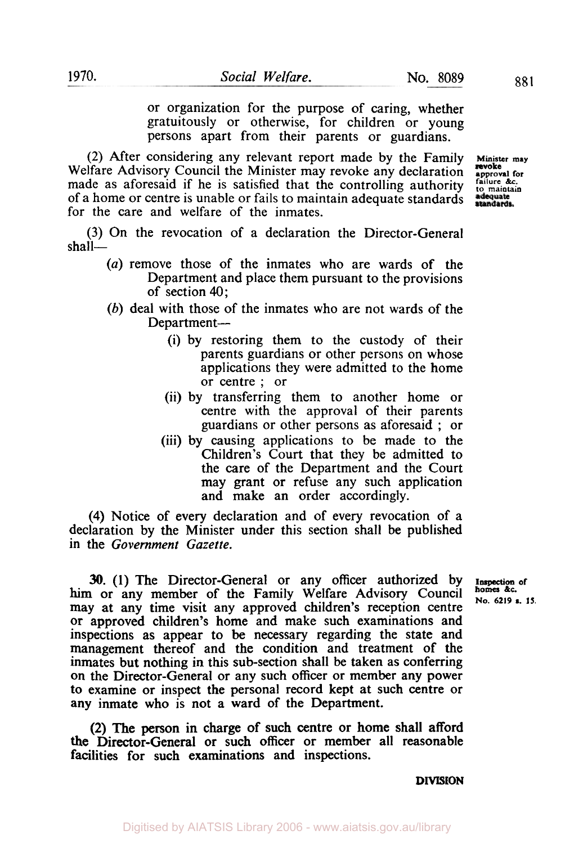or organization for the purpose of caring, whether gratuitously or otherwise, for children or young persons apart from their parents or guardians.

(2) After considering any relevant report made by the Family **Minister may**  Welfare Advisory Council the Minister may revoke any declaration **approved for** *approval for made* as aforesaid if he is satisfied that the controlling authority  $\frac{2\alpha}{\alpha}$  respective and  $\frac{2\alpha}{\alpha}$ made as aforesaid if he is satisfied that the controlling authority failure &c. of a home or centre is unable or fails to maintain adequate standards of a home or centre is unable or fails to maintain adequate standards for the care and welfare of the inmates.

(3) On the revocation of a declaration the Director-General shall-

- *(a)* remove those of the inmates who are wards of the Department and place them pursuant to the provisions of section 40;
- (b) deal with those of the inmates who are not wards of the Department-
	- (i) by restoring them to the custody of their parents guardians or other persons on whose applications they were admitted to the home or centre ; or
	- (ii) by transferring them to another home or centre with the approval of their parents guardians or other persons as aforesaid ; or
	- (iii) by causing applications to be made to the Children's Court that they be admitted to the care of the Department and the Court may grant or refuse any such application and make an order accordingly.

**(4)** Notice of every declaration and of every revocation of a declaration by the Minister under this section shall be published in the *Government Gazette.* 

**30. (1)** The Director-General or any officer authorized by Inspection **of**  him or any member of the Family Welfare Advisory Council may at any time visit any approved children's reception centre or approved children's home and make such examinations and inspections as appear to be necessary regarding the state and management thereof and the condition and treatment of the inmates but nothing in this sub-section shall be taken as conferring on the Director-General or any such officer or member any power to examine or inspect the personal record kept at such centre or any inmate who is not a ward of the Department.

**(2) The** person in charge of such centre or home shall afford the Director-General or such officer or member all reasonable facilities for such examinations and inspections.

**DIVISION** 

**revoke** 

**ho.** 6219 s. 15.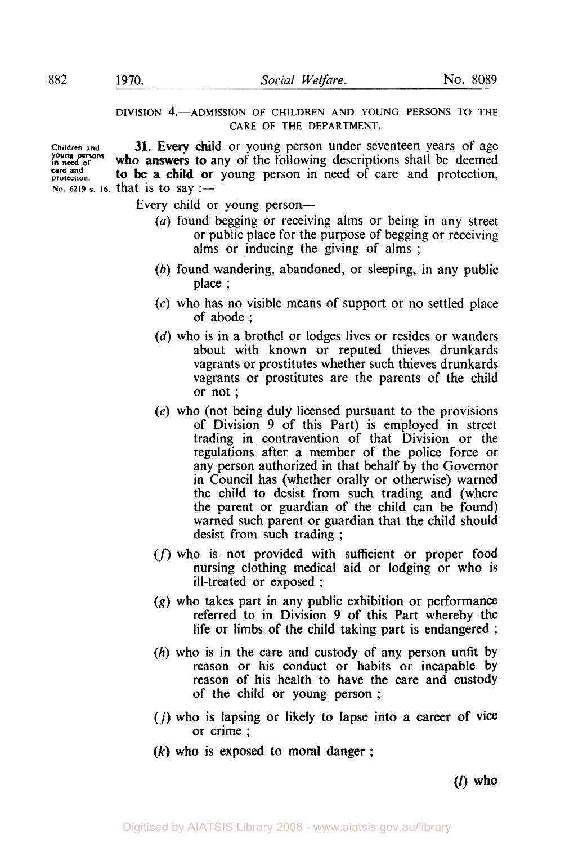**care and** 

**DIVISION 4.-ADMISSION OF CHILDREN AND YOUNG PERSONS TO THE CARE OF THE DEPARTMENT.** 

**Children and need of young persons protection. No. 6219 s. 16. that is to say :-31.** Every child or young person under seventeen years of age who answers to any of the following descriptions shall be deemed to be a child or young person in need of care and protection,

Every child or young person-

- *(a)* found begging or receiving alms or being in any street or public place for the purpose of begging or receiving alms or inducing the giving of alms ;
- *(b)* found wandering, abandoned, or sleeping, in any public place ;
- *(c)* who has no visible means of support or no settled place of abode ;
- *(d)* who is in a brothel or lodges lives or resides or wanders about with known or reputed thieves drunkards vagrants or prostitutes whether such thieves drunkards vagrants or prostitutes are the parents of the child or not ;
- *(e)* who (not being duly licensed pursuant to the provisions of Division **9** of this Part) is employed in street trading in contravention of that Division or the regulations after a member of the police force or any person authorized in that behalf by the Governor in Council has (whether orally or otherwise) warned the child to desist from such trading and (where the parent or guardian of the child can be found) warned such parent or guardian that the child should desist from such trading ;
- *(f)* who **is** not provided with sufficient or proper food nursing clothing medical aid or lodging or who is ill-treated or exposed ;
- *(g)* who takes part in any public exhibition **or** performance referred to in Division **9** of this Part whereby the life or limbs of the child taking part is endangered ;
- *(h)* who is in the care and custody of any person unfit by reason or his conduct or habits or incapable by reason of his health to have the care and custody of the child or young person ;
- *(i)* who is lapsing or likely to lapse into a career **of** vice or crime ;
- *(k)* who **is** exposed **to** moral danger ;

*(f)* **who**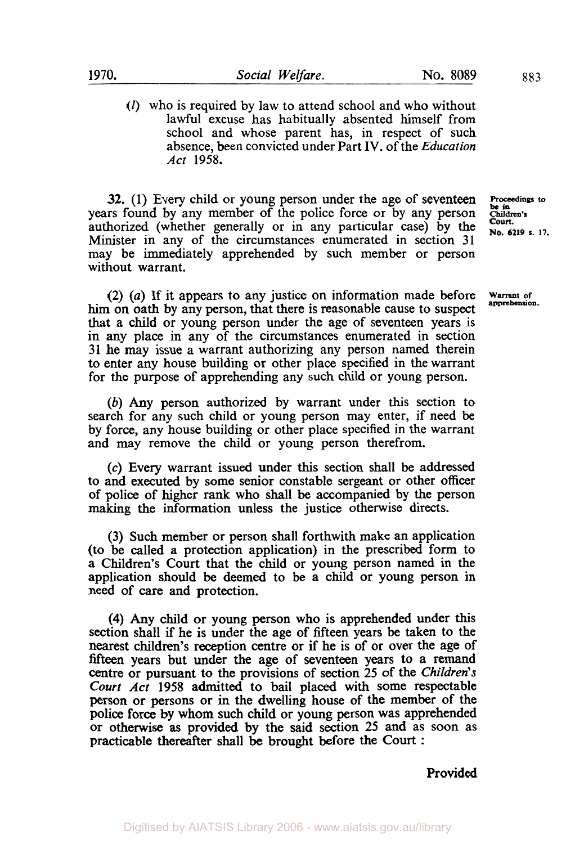*(I)* who is required by law to attend school and who without lawful excuse has habitually absented himself from school and whose parent has, in respect of such absence, been convicted under Part **IV.** of the *Education Act* **1958.** 

**32.** (1) Every child or young person under the age of seventeen **Proceedings to is** in the **Proceeding** to *Proceedings* to *Proceedings* to *Proceedings* to *Proceedings* to *Proceedings* to *Proceeding***s** years found by any member of the police force or by any person children authorized (whether generally or in any particular case) by the **Court.** Minister in any of the circumstances enumerated in section 31 may be immediately apprehended by such member or person without warrant.

**(2)** *(a)* If it appears to any justice on information made before **Warrant of apprehension**  him on oath by any person, that there is reasonable cause to suspect that a child or young person under the age of seventeen years is in any place in any of the circumstances enumerated in section **31** he may issue a warrant authorizing any person named therein to enter any house building or other place specified in the warrant for the purpose of apprehending any such child or young person.

*(b)* Any person authorized by warrant under this section to search for any such child or young person may enter, if need be by force, any house building or other place specified in the warrant and may remove the child or young person therefrom.

*(c)* Every warrant issued under this section shall be addressed to and executed by some senior constable sergeant or other officer **of** police of higher rank who shall be accompanied by the person making the information unless the justice otherwise directs.

**(3)** Such member or person shall forthwith make an application (to be called a protection application) in the prescribed form to a Children's Court that the child or young person named in the application should be deemed to be a child or young person in need **of** care and protection.

**(4)** Any child or young person who is apprehended under this section shall if he is under the age **of** fifteen years be taken to the nearest children's reception centre or if he is of or over the age of fifteen years but under the age of seventeen years to a remand centre or pursuant to the provisions of section *25* **of** the *Children's Court Act* **1958** admitted to bail placed with some respectable person or persons or in the dwelling house **of** the member **of** the police force by whom such child or young person was apprehended or otherwise **as** provided by the said section **25** and as soon as practicable thereafter shall be brought before the Court :

**Provided**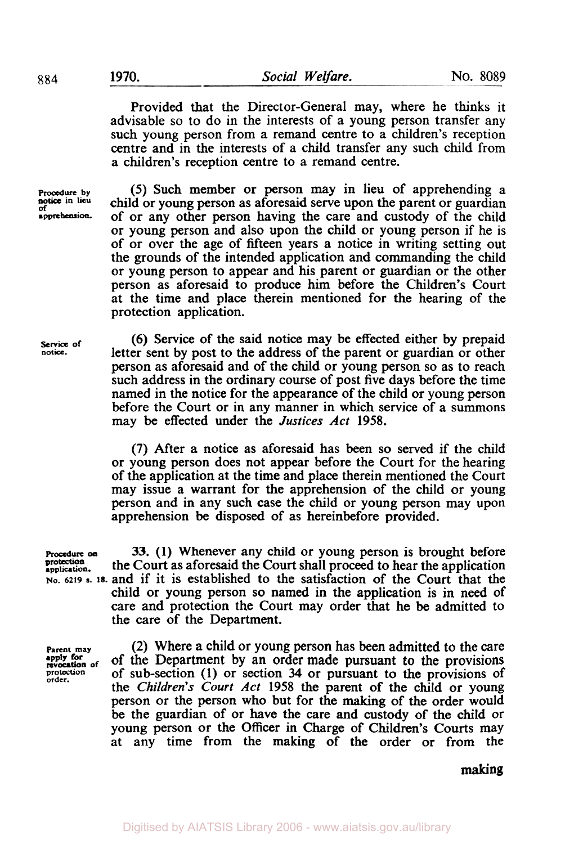Provided that the Director-General may, where he thinks it advisable so to do in the interests of a young person transfer any such young person from a remand centre to a children's reception centre and in the interests of a child transfer any such child from a children's reception centre to a remand centre.

Procedure **by of in Lieu apprehension** 

*(5)* Such member or person may in lieu of apprehending a child or young person as aforesaid serve upon the parent or guardian of or any other person having the care and custody of the child or young person and also upon the child or young person if he is of or over the age of fifteen years a notice in writing setting out the grounds of the intended application and commanding the child or young person to appear and his parent or guardian or the other person as aforesaid to produce him before the Children's Court at the time and place therein mentioned for the hearing of the protection application.

**Service of notice.** 

(6) Service of the said notice may be effected either by prepaid letter sent by post to the address of the parent or guardian or other person as aforesaid and of the child or young person so as to reach such address in the ordinary course of post five days before the time named in the notice for the appearance of the child or young person before the Court or in any manner in which service of a summons may be effected under the *Justices Act* **1958.** 

**(7)** After a notice as aforesaid has been so served if the child or young person does not appear before the Court for the hearing of the application at the time and place therein mentioned the Court may issue a warrant for the apprehension of the child or young person and in any such case the child or young person may upon apprehension be disposed of as hereinbefore provided.

protection.<br>application.

**Procedure 33. (1)** Whenever any child or young person is brought before **application.** the Court as aforesaid the Court shall proceed to hear the application **No. 6219 S. 18.** and if it is established to the satisfaction of the Court that the child or young person so named in the application is in need of care and protection the Court may order that he be admitted to the care of the Department.

**Parent may**<br>**apply** for<br>**revocation** of **protection order.** 

(2) Where a child or young person has been admitted to the care of sub-section **(1)** or section 34 or pursuant to the provisions of the *Children's Court Act* **1958** the parent of the child or young person or the person who but for the making of the order would be the guardian of or have the care and custody of the child or young person or the Officer in Charge of Children's Courts may at any time from the making of the order or from the of the Department by an order made pursuant to the provisions

**making**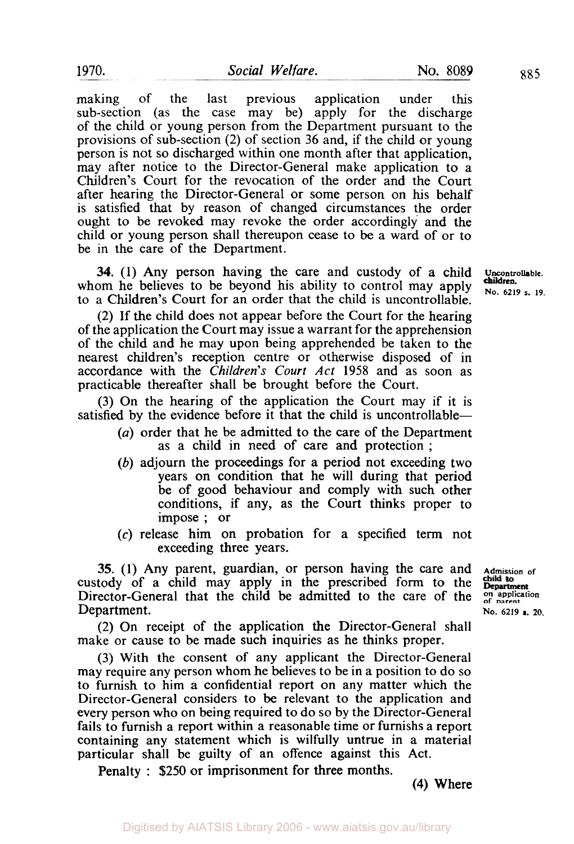making of the last previous application under this sub-section (as the case may be) apply for the discharge of the child or young person from the Department pursuant to the provisions of sub-section (2) of section **36** and, if the child or young person is not *so* discharged within one month after that application, may after notice to the Director-General make application to a Children's Court for the revocation of the order and the Court after hearing the Director-General or some person on his behalf is satisfied that by reason of changed circumstances the order ought to be revoked may revoke the order accordingly and the child or young person shall thereupon cease to be a ward of or to be in the care of the Department.

**34.** (1) Any person having the care and custody of a child **Uncontrollable**. whom he believes to be beyond his ability to control may apply  $\frac{cuidrea}{No. 6219 s. 19}$ . to a Children's Court for an order that the child is uncontrollable.

**(2)** If the child does not appear before the Court for the hearing of the application the Court may issue a warrant for the apprehension of the child and he may upon being apprehended be taken to the nearest children's reception centre or otherwise disposed of in accordance with the *Children's Court Act* 1958 and as soon as practicable thereafter shall be brought before the Court.

(3) On the hearing of the application the Court may if it is satisfied by the evidence before it that the child is uncontrollable—

- *(a)* order that he be admitted to the care of the Department as a child in need of care and protection ;
- *(b)* adjourn the proceedings for a period not exceeding two years on condition that he will during that period be of good behaviour and comply with such other conditions, if any, as the Court thinks proper to impose ; or
- (c) release him on probation for a specified term not exceeding three years.

**35.** (1) Any parent, guardian, or person having the care and **Admission of** tody of a child may apply in the prescribed form to the **beganities** custody of a child may apply in the prescribed form to the Director-General that the child be admitted to the care of the **on application**<br>Department.<br>No. 6219 **s**, 20 Department. **No. 6219 <b>s.** 20.

(2) On receipt of the application the Director-General shall make or cause to be made such inquiries as he thinks proper.

(3) With the consent of any applicant the Director-General may require any person whom he believes to be in a position to do *so*  to furnish to him a confidential report on any matter which the Director-General considers to be relevant to the application and every person who on being required to do so by the Director-General fails to furnish a report within a reasonable time or furnishs a report containing any statement which is wilfully untrue in a material particular shall be guilty of an offence against this Act.

Penalty : \$250 or imprisonment for three months.

**children.**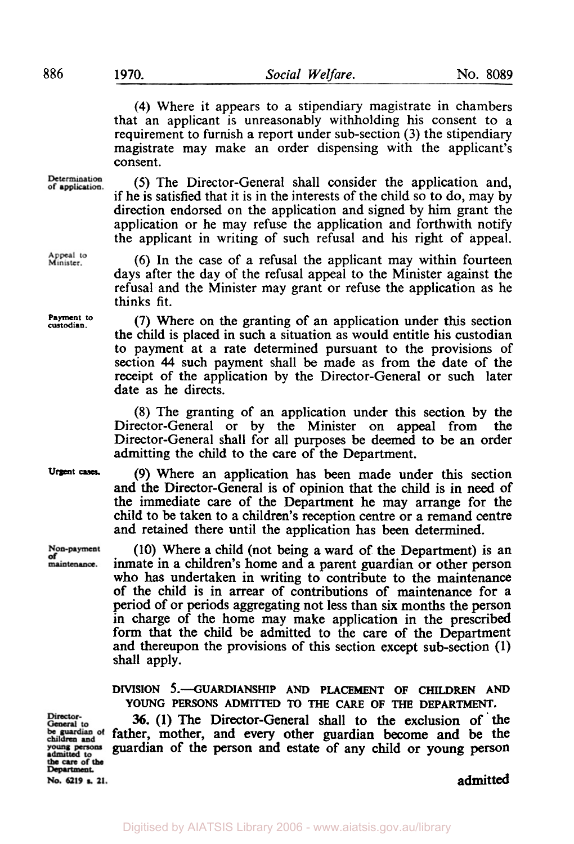**(4)** Where it appears to a stipendiary magistrate in chambers that an applicant is unreasonably withholding his consent to a requirement to furnish a report under sub-section (3) the stipendiary magistrate may make an order dispensing with the applicant's consent.

Determination of application.

**Payment to custodian.** 

Appeal to<br>Minister.

**urgent cases** 

Non-payment maintenance.

*(5)* The Director-General shall consider the application and, if he is satisfied that it is in the interests of the child so to do, may by direction endorsed on the application and signed by him grant the application or he may refuse the application and forthwith notify the applicant in writing of such refusal and his right of appeal.

(6) In the case of a refusal the applicant may within fourteen days after the day of the refusal appeal to the Minister against the refusal and the Minister may grant or refuse the application as he thinks fit.

(7) Where on the granting of an application under this section the child is placed in such a situation as would entitle his custodian **to** payment at a rate determined pursuant to the provisions of section **44** such payment shall be made as from the date of the receipt of the application by the Director-General or such later date as he directs.

(8) The granting of an application under this section by the Director-General or by the Minister on appeal from the Director-General shall for all purposes be deemed to be an order admitting the child to the care of the Department.

(9) Where an application has been made under this section and the Director-General is of opinion that the child is in need of the immediate care of the Department he may arrange for the child to be taken to a children's reception centre or a remand centre and retained there until the application has been determined.

(10) Where a child (not being a ward of the Department) is an inmate in a children's home and a parent guardian or other person who has undertaken in writing to contribute to the maintenance of the child is in arrear of contributions of maintenance for a period of or periods aggregating not less than six months the person in charge of the home may make application in the prescribed form that the child be admitted to the care of the Department and thereupon the provisions of this section except sub-section **(1)**  shall apply.

**DIVISION 5.-GUARDIANSHIP AND PLACEMENT OF CHILDREN AND YOUNG PERSONS ADMITTED TO THE CARE OF THE DEPARTMENT.** 

**36. (1)** The Director-General shall to the exclusion of ' the be guardian of father, mother, and every other guardian become and be the guardian of the person and estate of any child or young person

Director-General to young persons dmitted to the care of the<br>Department.

No. 6219 s. 21.

admitted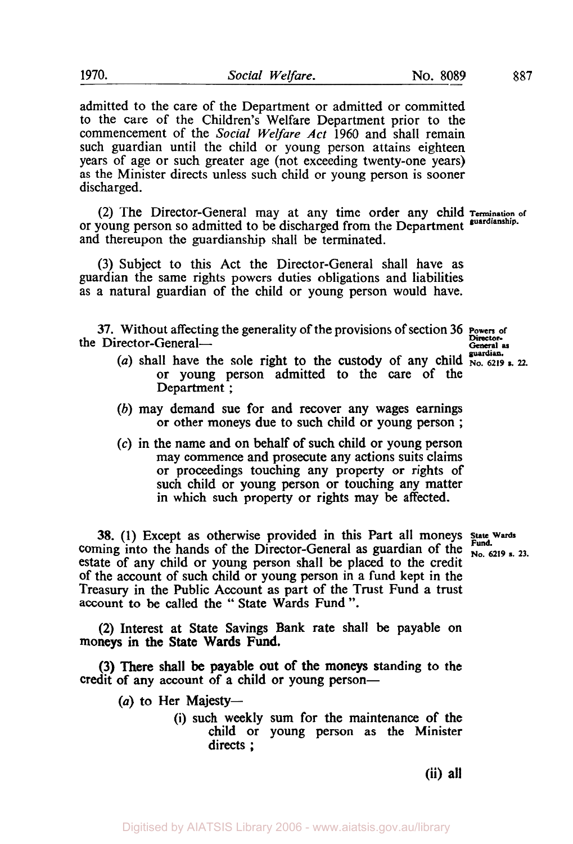admitted to the care of the Department or admitted or committed to the care of the Children's Welfare Department prior to the commencement of the *Social Welfare* Act 1960 and shall remain such guardian until the child or young person attains eighteen years of age or such greater age (not exceeding twenty-one years) as the Minister directs unless such child or young person is sooner discharged.

(2) The Director-General may at any time order any child **Termination or**  or young person so admitted to be discharged from the Department **guardianship.**  and thereupon the guardianship shall be terminated.

(3) Subject to this Act the Director-General shall have as guardian the same rights powers duties obligations and liabilities as a natural guardian of the child or young person would have.

**37.** Without affecting the generality of the provisions of section 36 **Powers or**  the Director-General—
<br> **Contact Contact Contact A Contact Contact A** *General* as

- (*a*) shall have the sole right to the custody of any child  $\frac{1}{N_0}$ ,  $\frac{1}{6219}$  s. 22. or young person admitted to the care of the Department ;
- (b) may demand sue for and recover any wages earnings or other moneys due to such child or young person ;
- *(c)* in the name and on behalf of such child or young person may commence and prosecute any actions suits claims or proceedings touching any property or rights of such child or young person or touching any matter in which such property or rights may be affected.

**38.** (1) Except as otherwise provided in this Part all moneys state Wards coming into the hands of the Director-General as guardian of the  $\frac{Fund.}{N_{0.}6219 s. 23.}$ estate of any child or young person shall be placed to the credit of the account of such child or young person in a fund kept in the Treasury in the Public Account as part of the Trust Fund a trust account to be called the " State Wards Fund ".

**(2)** Interest at State Savings Bank rate shall be payable on moneys in the State Wards Fund.

(3) There shall **be** payable out of the moneys standing to the credit of any account of a child or young person-

(a) to Her Majesty-

(i) such weekly sum for the maintenance of the child or young person as the Minister directs ;

**Fund.** 

(ii) all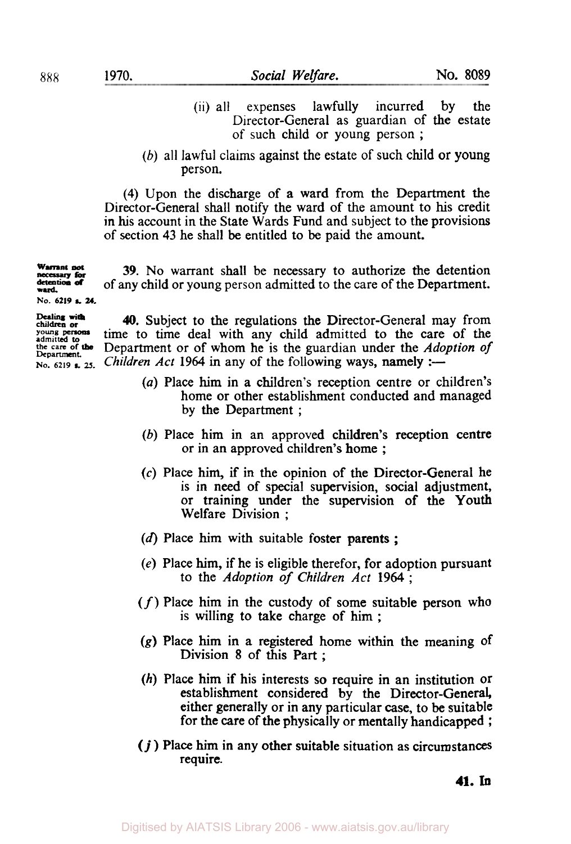- (ii) all expenses lawfully incurred by the Director-General as guardian of the estate of such child or young person ;
- (b) all lawful claims against the estate of such child or young person.

**(4)** Upon the discharge of a ward from the Department the Director-General shall notify the ward of the amount to his credit in his account in the State Wards Fund and subject to the provisions of section 43 he shall be entitled **to** be paid the amount.

**39.** No warrant shall be necessary to authorize the detention of any child or young person admitted to the care of the Department. **Warrant not** necessary **for detention ward. of No. 6219 s. 24.** 

**Dealing** with **chidren or** 

**40.** Subject to the regulations the Director-General may from Explored to time to time deal with any child admitted to the care of the same of the persons and admitted to **the care** of the persons and  $\frac{1}{2}$  admitted to **the care** of the **persons the care of the Department** Department or of whom he is the guardian under the Adoption *of*  No. 6219 **2.** 25. *Children Act* 1964 in any of the following ways, namely :-

- (a) Place him in a children's reception centre or children's home or other establishment conducted and managed by the Department ;
- (b) Place him in an approved children's reception centre or in an approved children's home ;
- *(c)* Place him, if in the opinion of the Director-General he is in need of special supervision, social adjustment, or training under the supervision of the Youth Welfare Division ;
- **(d)** Place him with suitable foster parents ;
- *(e)* Place him, if he is eligible therefor, for adoption pursuant to the Adoption *of Children Act* <sup>1964</sup>;
- *(f)* Place him in the custody of some suitable person who is willing to take charge of him ;
- *(g)* Place him in a registered home within the meaning of Division 8 of this Part ;
- (h) Place him if his interests **so** require in an institution or establishment considered by the Director-General either generally or in any particular case, to be suitable for the care of the physically or mentally handicapped ;
- *(i)* Place him in any other suitable situation as circumstances require.

**41. In**